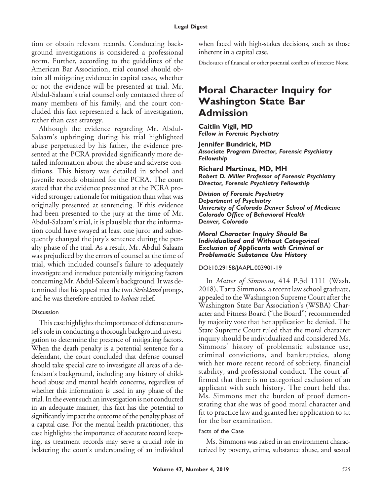#### **Legal Digest**

tion or obtain relevant records. Conducting background investigations is considered a professional norm. Further, according to the guidelines of the American Bar Association, trial counsel should obtain all mitigating evidence in capital cases, whether or not the evidence will be presented at trial. Mr. Abdul-Salaam's trial counsel only contacted three of many members of his family, and the court concluded this fact represented a lack of investigation, rather than case strategy.

Although the evidence regarding Mr. Abdul-Salaam's upbringing during his trial highlighted abuse perpetuated by his father, the evidence presented at the PCRA provided significantly more detailed information about the abuse and adverse conditions. This history was detailed in school and juvenile records obtained for the PCRA. The court stated that the evidence presented at the PCRA provided stronger rationale for mitigation than what was originally presented at sentencing. If this evidence had been presented to the jury at the time of Mr. Abdul-Salaam's trial, it is plausible that the information could have swayed at least one juror and subsequently changed the jury's sentence during the penalty phase of the trial. As a result, Mr. Abdul-Salaam was prejudiced by the errors of counsel at the time of trial, which included counsel's failure to adequately investigate and introduce potentially mitigating factors concerningMr. Abdul-Saleem's background. It was determined that his appeal met the two *Strickland* prongs, and he was therefore entitled to *habeas* relief.

#### Discussion

This case highlights the importance of defense counsel's role in conducting a thorough background investigation to determine the presence of mitigating factors. When the death penalty is a potential sentence for a defendant, the court concluded that defense counsel should take special care to investigate all areas of a defendant's background, including any history of childhood abuse and mental health concerns, regardless of whether this information is used in any phase of the trial. In the event such an investigation is not conducted in an adequate manner, this fact has the potential to significantly impact the outcome of the penalty phase of a capital case. For the mental health practitioner, this case highlights the importance of accurate record keeping, as treatment records may serve a crucial role in bolstering the court's understanding of an individual

when faced with high-stakes decisions, such as those inherent in a capital case.

Disclosures of financial or other potential conflicts of interest: None.

## **Moral Character Inquiry for Washington State Bar Admission**

**Caitlin Vigil, MD** *Fellow in Forensic Psychiatry*

**Jennifer Bundrick, MD** *Associate Program Director, Forensic Psychiatry Fellowship*

**Richard Martinez, MD, MH** *Robert D. Miller Professor of Forensic Psychiatry Director, Forensic Psychiatry Fellowship*

*Division of Forensic Psychiatry Department of Psychiatry University of Colorado Denver School of Medicine Colorado Office of Behavioral Health Denver, Colorado*

#### *Moral Character Inquiry Should Be Individualized and Without Categorical Exclusion of Applicants with Criminal or Problematic Substance Use History*

#### DOI:10.29158/JAAPL.003901-19

In *Matter of Simmons*, 414 P.3d 1111 (Wash. 2018), Tarra Simmons, a recent law school graduate, appealed to the Washington Supreme Court after the Washington State Bar Association's (WSBA) Character and Fitness Board ("the Board") recommended by majority vote that her application be denied. The State Supreme Court ruled that the moral character inquiry should be individualized and considered Ms. Simmons' history of problematic substance use, criminal convictions, and bankruptcies, along with her more recent record of sobriety, financial stability, and professional conduct. The court affirmed that there is no categorical exclusion of an applicant with such history. The court held that Ms. Simmons met the burden of proof demonstrating that she was of good moral character and fit to practice law and granted her application to sit for the bar examination.

#### Facts of the Case

Ms. Simmons was raised in an environment characterized by poverty, crime, substance abuse, and sexual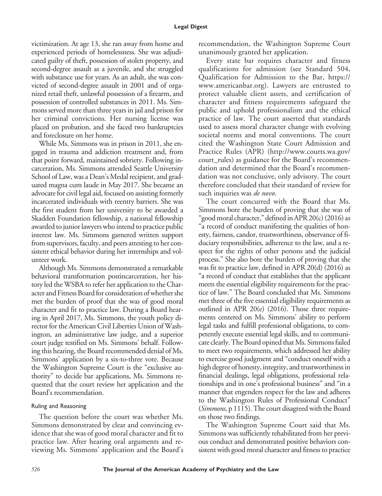#### **Legal Digest**

victimization. At age 13, she ran away from home and experienced periods of homelessness. She was adjudicated guilty of theft, possession of stolen property, and second-degree assault as a juvenile, and she struggled with substance use for years. As an adult, she was convicted of second-degree assault in 2001 and of organized retail theft, unlawful possession of a firearm, and possession of controlled substances in 2011. Ms. Simmons served more than three years in jail and prison for her criminal convictions. Her nursing license was placed on probation, and she faced two bankruptcies and foreclosure on her home.

While Ms. Simmons was in prison in 2011, she engaged in trauma and addiction treatment and, from that point forward, maintained sobriety. Following incarceration, Ms. Simmons attended Seattle University School of Law, was a Dean's Medal recipient, and graduated magna cum laude in May 2017. She became an advocate for civil legal aid, focused on assisting formerly incarcerated individuals with reentry barriers. She was the first student from her university to be awarded a Skadden Foundation fellowship, a national fellowship awarded to junior lawyers who intend to practice public interest law. Ms. Simmons garnered written support from supervisors, faculty, and peers attesting to her consistent ethical behavior during her internships and volunteer work.

Although Ms. Simmons demonstrated a remarkable behavioral transformation postincarceration, her history led the WSBA to refer her application to the Character and Fitness Board for consideration of whether she met the burden of proof that she was of good moral character and fit to practice law. During a Board hearing in April 2017, Ms. Simmons, the youth policy director for the American Civil Liberties Union of Washington, an administrative law judge, and a superior court judge testified on Ms. Simmons' behalf. Following this hearing, the Board recommended denial of Ms. Simmons' application by a six-to-three vote. Because the Washington Supreme Court is the "exclusive authority" to decide bar applications, Ms. Simmons requested that the court review her application and the Board's recommendation.

#### Ruling and Reasoning

The question before the court was whether Ms. Simmons demonstrated by clear and convincing evidence that she was of good moral character and fit to practice law. After hearing oral arguments and reviewing Ms. Simmons' application and the Board's recommendation, the Washington Supreme Court unanimously granted her application.

Every state bar requires character and fitness qualifications for admission (see Standard 504, Qualification for Admission to the Bar, [https://](https://www.americanbar.org) [www.americanbar.org\)](https://www.americanbar.org). Lawyers are entrusted to protect valuable client assets, and certification of character and fitness requirements safeguard the public and uphold professionalism and the ethical practice of law. The court asserted that standards used to assess moral character change with evolving societal norms and moral conventions. The court cited the Washington State Court Admission and Practice Rules (APR) (http://www.courts.wa.gov/ court\_rules) as guidance for the Board's recommendation and determined that the Board's recommendation was not conclusive, only advisory. The court therefore concluded that their standard of review for such inquiries was *de novo*.

The court concurred with the Board that Ms. Simmons bore the burden of proving that she was of "good moral character," defined in APR 20(c) (2016) as "a record of conduct manifesting the qualities of honesty, fairness, candor, trustworthiness, observance of fiduciary responsibilities, adherence to the law, and a respect for the rights of other persons and the judicial process." She also bore the burden of proving that she was fit to practice law, defined in APR 20(d) (2016) as "a record of conduct that establishes that the applicant meets the essential eligibility requirements for the practice of law." The Board concluded that Ms. Simmons met three of the five essential eligibility requirements as outlined in APR 20(e) (2016). Those three requirements centered on Ms. Simmons' ability to perform legal tasks and fulfill professional obligations, to competently execute essential legal skills, and to communicate clearly. The Board opined that Ms. Simmons failed to meet two requirements, which addressed her ability to exercise good judgment and "conduct oneself with a high degree of honesty, integrity, and trustworthiness in financial dealings, legal obligations, professional relationships and in one's professional business" and "in a manner that engenders respect for the law and adheres to the Washington Rules of Professional Conduct" (*Simmons*, p 1115). The court disagreed with the Board on those two findings.

The Washington Supreme Court said that Ms. Simmons was sufficiently rehabilitated from her previous conduct and demonstrated positive behaviors consistent with good moral character and fitness to practice